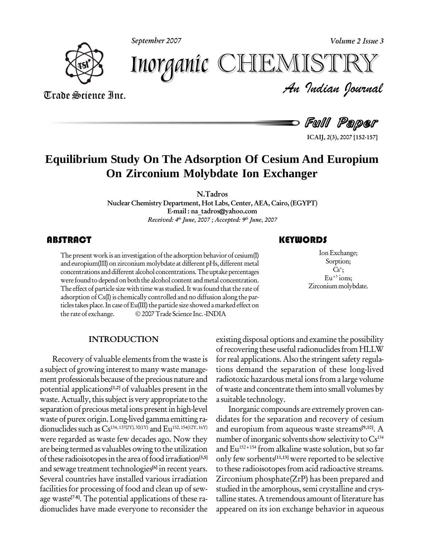



*Volume 2 Issue 3*<br>ISTRY<br>Indian Iournal Inorganic CHEMISTR

Trade Science Inc. Trade Science Inc.

Full Paper

**ICAIJ, 2(3), 2007 [152-157]**

## **Equilibrium Study On The Adsorption Of Cesium And Europium On Zirconium Molybdate Ion Exchanger**

**N.Tadros**

**Nuclear Chemistry Department, Hot Labs, Center, AEA, Cairo, (EGYPT) E-mail : [na\\_tadros@yahoo.com](mailto:na_tadros@yahoo.com) Received: 4 th June, 2007 ; Accepted: 9 th June, 2007**

The present work is an inv<br>and europium(III) on zirce<br>concentrations and differe The present work is an investigation of the adsorption behavior of  $\operatorname{cesium}(I)$ and europium(III) on zirconium molybdate at different pHs, different metal concentrations and different alcohol concentrations. The uptake percentages were found to depend on both the alcohol content and metal concentration. The effect of particle size with time was studied. It was found that the rate of adsorption ofCs(I) is chemically controlled and no diffusion along the par ticles takes place. In case of Eu(III) the particle size showed a marked effect on adsorption of Cs(I) is chemically controlled and no diffusion along the particles takes place. In case of Eu(III) the particle size showed a marked effect on<br>the rate of exchange. © 2007 Trade Science Inc. -INDIA

### **INTRODUCTION**

Recovery of valuable elements from the waste is a subject of growing interest to many waste management professionals because of the precious nature and potential applications **[1,2]** of valuables present in the waste. Actually, this subject is very appropriate to the separation of precious metal ions present in high-level waste of purex origin. Long-lived gamma emitting radionuclides such as  $Cs^{134,137(2Y),30(1Y)}$  and  $Eu^{152,154(12Y,16Y)}$ were regarded as waste few decades ago. Now they are being termed as valuables owing to the utilization of these radioisotopes in the area of food irradiation<sup>[3,5]</sup> only and sewage treatment technologies **[6]** in recent years. Several countries have installed various irradiation facilities for processing of food and clean up of sew age waste **[7-8]**. The potential applications of these ra dionuclides have made everyone to reconsider the

## **KEYWORDS**

Ion Exchange<br>
Sorption;<br>
G<sup>+</sup>; IonExchange; Sorption;  $Cs^+$ ;  $Eu^{+3}$ ions; Zirconium molybdate.

existing disposal options and examine the possibility of recovering these useful radionuclides from HLLW for real applications. Also the stringent safety regulations demand the separation of these long-lived radiotoxic hazardous metal ionsfrom a large volume ofwaste and concentrate them into small volumes by a suitable technology.

Inorganic compounds are extremely proven can didates for the separation and recovery of cesium and europium from aqueous waste streams **[9,10]**. A number of inorganic solvents show selectivity to Cs134 and Eu 152+154 from alkaline waste solution, butso far only few sorbents **[11,13]** were reported to be selective to these radioisotopes from acid radioactive streams. Zirconium phosphate(ZrP) has been prepared and studied in the amorphous, semi crystalline and crystalline states. A tremendous amount of literature has appeared on its ion exchange behavior in aqueous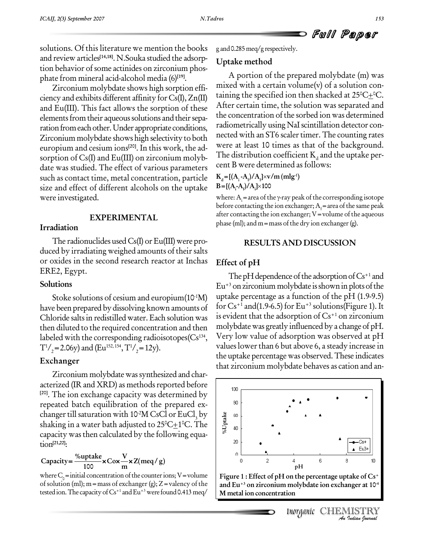Full Paper

solutions. Of this literature we mention the books and review articles **[14,18]**. N.Souka studied the adsorp tion behavior of some actinides on zirconium phosphate from mineral acid-alcohol media (6) **[19]**.

Zirconium molybdate shows high sorption effi ciency and exhibits different affinity for  $Cs(I), Zn(II)$ and Eu(III). This fact allows the sorption of these elements from their aqueous solutions and their separation from each other. Under appropriate conditions, Zirconium molybdate shows high selectivity to both europium and cesium ions **[20]**. In this work, the ad sorption of Cs(I) and Eu(III) on zirconium molyb date was studied. The effect of various parameters such as contact time, metal concentration, particle size and effect of different alcohols on the uptake  $B = [(A_i-A_i)/A_i] \times 100$ were investigated.

### **EXPERIMENTAL**

### **Irradiation**

The radionuclides used  $Cs(I)$  or  $Eu(III)$  were produced by irradiating weighed amounts of their salts or oxides in the second research reactor at Inchas ERE2, Egypt.

#### **Solutions**

Stoke solutions of cesium and europium(10<sup>1</sup>M) up have been prepared by dissolving known amounts of Chloride saltsin redistilled water. Each solution was then diluted to the required concentration and then labeled with the corresponding radioisotopes(Cs $^{134}$ ,  $\quad$  V  $T^{1/2}$  = 2.06y) and (Eu<sup>152, 154</sup>, T<sup>1</sup>/<sub>2</sub> = 12y).

### **Exchanger**

Zirconium molybdate was synthesized and char- $\arct{arized}$  (IR and XRD) as methods reported before  $\frac{1}{100}$ **[20]**. The ion exchange capacity was determined by repeated batch equilibration of the prepared ex-<br>changer till saturation with 10<sup>2</sup>M CsCl or EuCl<sub>3</sub> by<br>shaking in a water bath adjusted to 25°C±1°C. The changer till saturation with 10<sup>2</sup>M CsCl or EuCl<sub>3</sub> by  $\begin{array}{c|c} \frac{9}{16} & \infty \end{array}$ shaking in a water bath adjusted to 25°C $\pm$ 1°C. The  $\,$   $\,$   $\,$   $\,$   $\,$   $\,$   $\rm \frac{5}{9}$   $\,$ capacity was then calculated by the following equa tion **[21,22]**:

tion<sup>[21,22]</sup>:  
Capacity=
$$
\frac{\%uptake}{100} \times \text{Cox} \frac{V}{m} \times Z(meq/g)
$$

where  $C_0$  = initial concentration of the counter ions; V = volume of solution (ml); m = mass of exchanger (g);  $Z$  = valency of the tested ion. The capacity of Cs+1 and Eu+3 were found 0.413 meq/  $\parallel$  M  $_{\rm H}$ 

g and0.285meq/g respectively.

#### **Uptake method**

A portion of the prepared molybdate (m) was<br>ed with a certain volume(v) of a solution con-<br>ing the specified ion then shacked at  $25^{\circ}\text{C}_{\pm}^{\circ}\text{C}$ . mixed with a certain volume(v) of a solution con taining the specified ion then shacked at 25°C±°C. After certain time, the solution was separated and the concentration of the sorbed ion was determined radiometrically using NaI scintillation detector connected with an ST6 scaler timer. The counting rates were at least 10 times as that of the background. The distribution coefficient  $K_d$  and the uptake per $k$  **cent B** were determined as follows:

**-1) EXECUTE B** were determined<br> **B** =  $[(A_i - A_i)/A_i] \times \sqrt{m}$  (mlg<sup>-1</sup>)<br> **B** =  $[(A_i - A_i)/A_i] \times 100$ 

where: A<sub>i</sub>=area of the  $\gamma$ -ray peak of the corresponding isotope before contacting the ion exchanger;  $A_i$ =area of the same peak after contacting the ion exchanger;  $V =$ volume of the aqueous phase (ml); and  $m =$  mass of the dry ion exchanger (g).

#### **RESULTS AND DISCUSSION**

### **Effect of pH**

, Very low value of adsorption was observed at pH The pH dependence of the adsorption of  $Cs^{+1}$  and Eu +3 onzirconium molybdate isshowninplotsofthe uptake percentage as a function of the pH (1.9-9.5) for Cs+1 and(1.9-6.5) for Eu +3 solutions(Figure 1). It is evident that the adsorption of  $Cs^{+1}$  on zirconium molybdate was greatly influenced by a change of  $pH$ . values lower than 6 but above 6, a steady increase in the uptake percentagewas observed.These indicates that zirconium molybdate behaves as cation and an-



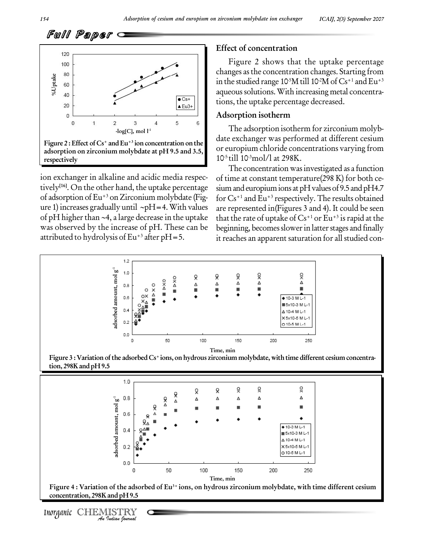

ion exchanger in alkaline and acidic media respec tively<sup>[16]</sup>. On the other hand, the uptake percentage sium:<br>of adsorption of Eu<sup>+3</sup> on Zirconium molybdate (Fig- for C<br>ure 1) increases gradually until ~pH=4. With values are re of adsorption of Eu<sup>+3</sup> on Zirconium molybdate (Fig-<br>ure 1) increases gradually until ~pH=4. With values are re<br>of pH higher than ~4, a large decrease in the uptake that t was observed by the increase of pH. These can be attributed to hydrolysis of Eu +3 after pH=5.

#### **Effect of concentration**

Figure 2 shows that the uptake percentage changes asthe concentration changes. Starting from in the studied range 10<sup>-5</sup>M till 10<sup>-2</sup>M of Cs<sup>+1</sup> and Eu<sup>+3</sup> aqueous solutions. With increasing metal concentrations, the uptake percentage decreased.

#### **Adsorption isotherm**

The adsorption isotherm for zirconium molyb date exchanger was performed at different cesium or europium chloride concentrations varying from 10 -5 till 10 -3mol/l at 298K.

The concentration wasinvestigated as a function of time at constant temperature(298 K) for both ce sium and europium ions at pH values of 9.5 and pH4.7 for Cs+1 and Eu +3 respectively. The results obtained are represented in(Figures 3 and 4). It could be seen that the rate of uptake of Cs+1 or Eu+3 is rapid at the beginning, becomes slower in latter stages and finally it reaches an apparent saturation for all studied con-



Figure 3 : Variation of the adsorbed Cs<sup>+</sup>ions, on hydrous zirconium molybdate, with time different cesium concentra**tion, 298Kand pH9.5**



**concentration, 298Kand pH9.5**

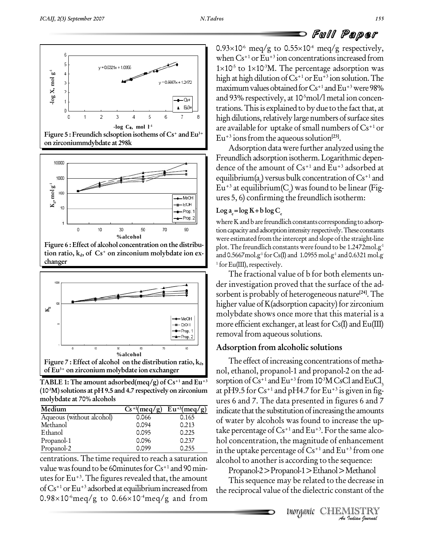



**Figure 6 : Effect of alcohol concentration on the distribu tion ratio,**  $k_d$ , of  $Cs^+$  on zinconium molybdate ion  $ex$ **changer**



**TABLE** 1: The amount adsorbed(meq/g) of  $Cs^{+1}$  and  $Eu^{+3}$ **(10 -3M)solutions at pH 9.5 and 4.7 respectively on zirconium molybdate at 70% alcohols**

| Medium                    | $Cs^{+1}$ (meg/g) | $Eu^{+3}(meq/g)$ | $\mathbf{i}$ |
|---------------------------|-------------------|------------------|--------------|
| Aqueous (without alcohol) | 0.066             | 0.165            |              |
| Methanol                  | 0.094             | 0.213            | C            |
| Ethanol                   | 0.095             | 0.225            | t            |
| Propanol-1                | 0.096             | 0.237            |              |
| Propanol-2                | 0.099             | 0.255            |              |

centrations. The time required to reach a saturation value was found to be 60minutes for  $Cs^{+1}$  and 90 minutes for Eu+3. The figures revealed that, the amount of  $Cs^{+1}$  or Eu<sup>+3</sup> adsorbed at equilibrium increased from the reciproca utes for Eu<sup>+3</sup>. The figures revealed that, the amount This sequal requilibrium increased from the reciprocarrol 0.98×10<sup>-6</sup>meq/g to 0.66×10<sup>-4</sup>meq/g and from

**Full Paper**<br>0.93×10<sup>-6</sup> meq/g to 0.55×10<sup>-4</sup> meq/g respectively, when  $\rm Cs^{+1}$  or  $\rm Eu^{+3}$  ion concentrations increased from 0.93×10<sup>-6</sup> meq/g to 0.5<br>when Cs<sup>+1</sup> or Eu<sup>+3</sup> ion co<br>1×10<sup>-5</sup> to 1×10<sup>-3</sup>M. The  $1\times10^{-5}$  to  $1\times10^{-3}$ M. The percentage adsorption was high at high dilution of Cs<sup>+1</sup> or Eu<sup>+3</sup> ion solution. The maximum values obtained for Cs+1 and Eu+3 were 98% and 93% respectively, at 10 -5mol/l metal ion concen trations. This is explained to by due to the fact that, at high dilutions, relatively large numbers of surface sites are available for uptake of small numbers of  $Cs^{+1}$  or <sup>3+</sup> Eu<sup>+3</sup> ions from the aqueous solution<sup>[23]</sup>.

Adsorption data were further analyzed using the Freundlich adsorption isotherm. Logarithmic dependence of the amount of Cs+1 and Eu +3 adsorbed at equilibrium(a <sup>e</sup>) versus bulkconcentrationofCs+1 and Eu<sup>+3</sup> at equilibrium(C<sub>e</sub>) was found to be linear (Fig-<br>ures 5, 6) confirming the freundlich isotherm:

### $\text{Log } a_e = \log K + b \log C$

where K and b are freundlich constants corresponding to adsorption capacity and adsorption intensity respectively. These constants were estimated from the intercept and slope of the straight-line plot. The freundlich constants were found to be 1.2472 ${\rm mol.g^{\scriptscriptstyle 1}}$ and 0.5667 mol.g<sup>-1</sup> for Cs(I) and 1.0955 mol.g<sup>-1</sup> and 0.6321 mol.g  $1$  for Eu(III), respectively.

The fractional value of b for both elements un der investigation proved that the surface of the ad sorbent is probably of heterogeneous nature **[24]**.The higher value of  $K$ (adsorption capacity) for zirconium molybdate shows once more that this material is a more efficient exchanger, at least for  $Cs(I)$  and  $Eu(III)$ removal from aqueous solutions.

### **Adsorption from alcoholic solutions**

alcohol to another is according to the sequence: The effect of increasing concentrations of methanol, ethanol, propanol-1 and propanol-2 on the ad- <sup>+3</sup> sorption of  $Cs^{+1}$  and  $Eu^{+3}$  from 10<sup>3</sup>M CsCl and EuCl<sub>3</sub> at pH9.5 for Cs+1 and pH4.7 for Eu +3 is given in fig ures 6 and 7. The data presented in figures 6 and 7  $(meq/g)$  indicate that the substitution of increasing the amounts of water by alcohols was found to increase the up take percentage of  $\rm Cs^{+1}$  and  $\rm Eu^{+3}.$  For the same alcohol concentration, the magnitude of enhancement in the uptake percentage of  $\rm Cs^{+1}$  and  $\rm Eu^{+3}$  from one

Propanol-2>Propanol-1>Ethanol>Methanol

**IMethanol<br>decrease in<br>stant of the<br><b>IISTRY**<br>*Indian bouwad* This sequence may be related to the decrease in the reciprocal value of the dielectric constant of the

Inorganic CHEMISTRY<br>In Indian Iournal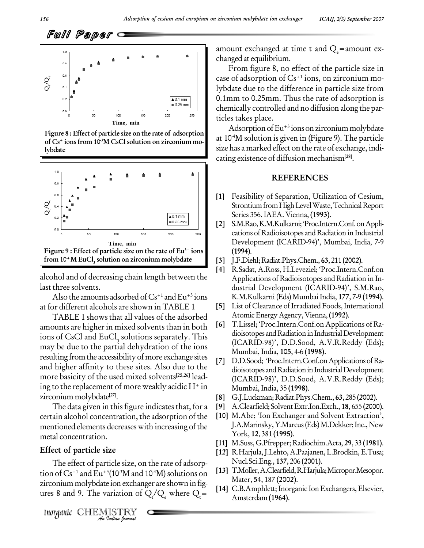





alcohol and of decreasing chain length between the last three solvents.

Also the amounts adsorbed of Cs+1 and Eu+3 ions at for different alcohols are shown inTABLE 1

TABLE 1 shows that all values of the adsorbed amounts are higher in mixed solvents than in both ions of CsCl and EuCl, solutions separately. This may be due to the partial dehydration of the ions resulting from the accessibility of more exchange sites  $[7]$ and higher affinity to these sites. Also due to the more basicity of the used mixed solvents **[25,26]** lead ing to the replacement of more weakly acidic  $H^+$  in zirconium molybdate **[27]**.

The data given in this figure indicates that, for a certain alcohol concentration, the adsorption of the mentioned elements decreases with increasing of the metal concentration.

### **Effect of particle size**

The effect of particle size, on the rate of adsorp-The effect of particle size, on the rate of action of  $Cs^{+1}$  and  $Eu^{+3}(10^{-3}M)$  and  $10^{-4}M$ ) solutic irronium molybdate ion exchanger are shown res 8 and 9. The variation of  $Q_t/Q_e$  where <br>*Inorganic* CHEMISTRY tion of  $\rm Cs^{+1}$  and  $\rm Eu^{+3}(10^{3}M$  and  $10^{4}M)$  solutions on  $\rm L^{13}L^{1.0}$ zirconium molybdate ion exchanger are shown in figures 8 and 9. The variation of  $Q_t/Q_e$  where  $Q_t$ =

amount exchanged at time t and  $Q_e$ =amount ex-<br>changed at equilibrium.

From figure 8, no effect of the particle size in case of adsorption of Cs+1 ions, on zirconium mo lybdate due to the difference in particle size from 0.1mm to 0.25mm. Thus the rate of adsorption is chemically controlled and no diffusion along the par ticles takes place.

Adsorption of Eu<sup>+3</sup> ions on zirconium molybdate at 10 -4M solution is given in (Figure 9).The particle size has a marked effect on the rate of exchange, indi cating existence of diffusion mechanism**[28]**.

#### **REFERENCES**

- **[1]** Feasibility of Separation, Utilization of Cesium, Strontium from High Level Waste, Technical Report Series 356.IAEA. Vienna, **(1993)**.
- [2] S.M.Rao, K.M.Kulkarni; 'Proc.Intern.Conf. on Applications of Radioisotopes and Radiation in Industrial Development (ICARID-94)', Mumbai, India, 7-9 **(1994)**.
- **[3]** J.F.Diehl;Radiat.Phys.Chem., **63**, 211 **(2002)**.
- **[4]** R.Sadat, A.Ross, H.Leveziel; ëProc.Intern.Conf.on Applications of Radioisotopes and Radiation in In dustrial Development (ICARID-94)', S.M.Rao, K.M.Kulkarni (Eds) MumbaiIndia, **177**, 7-9 **(1994)**.
- List of Clearance of Irradiated Foods, International AtomicEnergyAgency, Vienna,**(1992)**.
- **[6]** T.Lissel; ëProc.Intern.Conf.on Applications of Ra dioisotopes and Radiation in Industrial Development (ICARID-98)', D.D.Sood, A.V.R.Reddy (Eds); Mumbai, India, **105**, 4-6 **(1998)**.
- D.D.Sood; 'Proc.Intern.Conf.on Applications of Radioisotopes and Radiation in Industrial Development (ICARID-98)', D.D.Sood, A.V.R.Reddy (Eds); Mumbai, India, 35 **(1998)**.
- **[8]** G.J.Luckman;Radiat.Phys.Chem., **63**, 285 **(2002)**.
- **[9]** A.Clearfield; SolventExtr.Ion.Exch., **18**, 655 **(2000)**.
- [10] M.Abe; 'Ion Exchanger and Solvent Extraction', J.A.Marinsky, Y.Marcus (Eds) M.Dekker; Inc., New York, **12**, 381 **(1995)**.
- **[11]** M.Suss,G.Pfrepper; Radiochim.Acta, **29**, 33 **(1981)**.
- **[12]** R.Harjula,J.Lehto, A.Paajanen,L.Brodkin,E.Tusa; Nucl.Sci.Eng., **137**, 206 **(2001)**.
- **[13]** T.Moller,A.Clearfield,R.Harjula;Micropor.Mesopor. Mater, **54**, 187 **(2002)**.
- [14] C.B.Amphlett; Inorganic Ion Exchangers, Elsevier, Amsterdam **(1964)**.